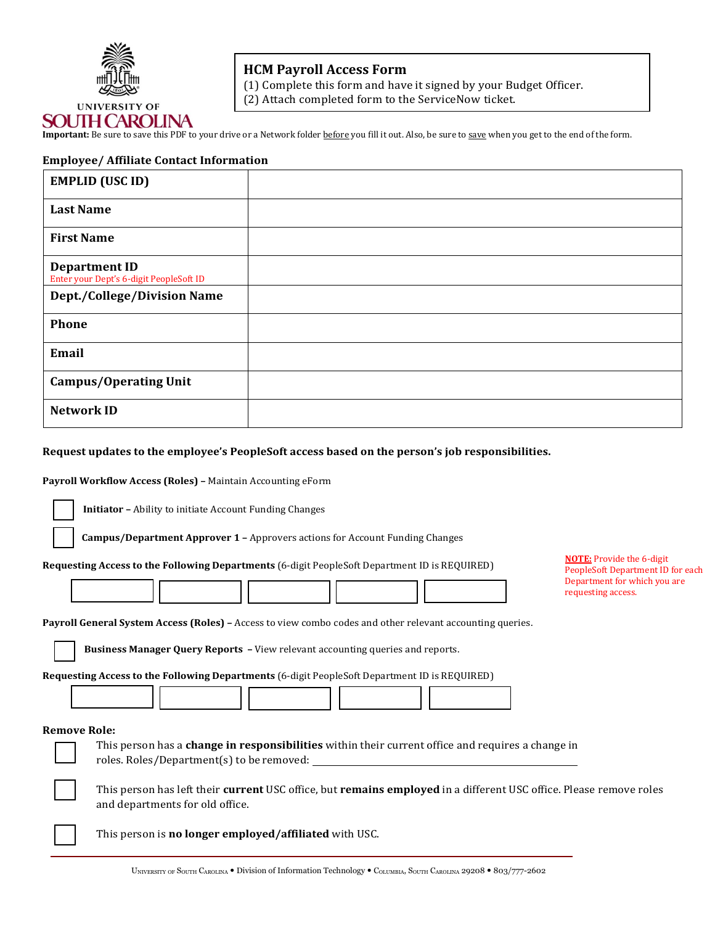

# **HCM Payroll Access Form**

(1) Complete this form and have it signed by your Budget Officer.

(2) Attach completed form to the ServiceNow ticket.

**Important:** Be sure to save this PDF to your drive or a Network folder before you fill it out. Also, be sure to save when you get to the end of the form.

## **Employee/ Affiliate Contact Information**

| <b>EMPLID (USC ID)</b>                                          |  |
|-----------------------------------------------------------------|--|
| <b>Last Name</b>                                                |  |
| <b>First Name</b>                                               |  |
| <b>Department ID</b><br>Enter your Dept's 6-digit PeopleSoft ID |  |
| <b>Dept./College/Division Name</b>                              |  |
| Phone                                                           |  |
| Email                                                           |  |
| <b>Campus/Operating Unit</b>                                    |  |
| <b>Network ID</b>                                               |  |

### **Request updates to the employee's PeopleSoft access based on the person's job responsibilities.**

#### **Payroll Workflow Access (Roles) –** Maintain Accounting eForm

**Initiator –** Ability to initiate Account Funding Changes

**Campus/Department Approver 1 –** Approvers actions for Account Funding Changes

**Requesting Access to the Following Departments** (6-digit PeopleSoft Department ID is REQUIRED)

**NOTE:** Provide the 6-digit PeopleSoft Department ID for each Department for which you are requesting access.

**Payroll General System Access (Roles) –** Access to view combo codes and other relevant accounting queries.

**Business Manager Query Reports –** View relevant accounting queries and reports.

**Requesting Access to the Following Departments** (6-digit PeopleSoft Department ID is REQUIRED)

#### **Remove Role:**

This person has a **change in responsibilities** within their current office and requires a change in roles. Roles/Department(s) to be removed:

This person has left their **current** USC office, but **remains employed** in a different USC office. Please remove roles and departments for old office.

This person is **no longer employed/affiliated** with USC.